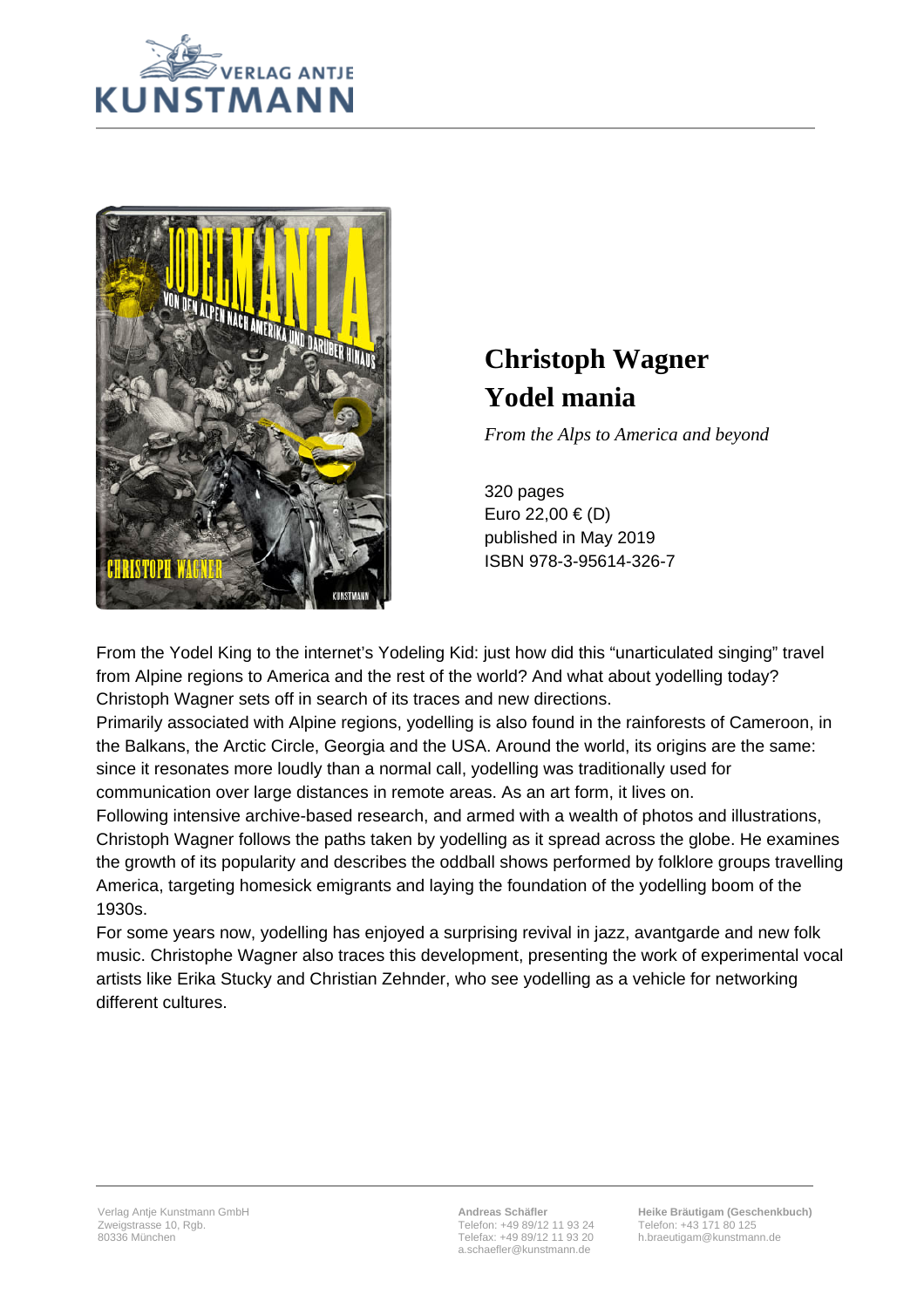



## **Christoph Wagner Yodel mania**

*From the Alps to America and beyond*

320 pages Euro 22,00 € (D) published in May 2019 ISBN 978-3-95614-326-7

From the Yodel King to the internet's Yodeling Kid: just how did this "unarticulated singing" travel from Alpine regions to America and the rest of the world? And what about yodelling today? Christoph Wagner sets off in search of its traces and new directions.

Primarily associated with Alpine regions, yodelling is also found in the rainforests of Cameroon, in the Balkans, the Arctic Circle, Georgia and the USA. Around the world, its origins are the same: since it resonates more loudly than a normal call, yodelling was traditionally used for communication over large distances in remote areas. As an art form, it lives on.

Following intensive archive-based research, and armed with a wealth of photos and illustrations, Christoph Wagner follows the paths taken by yodelling as it spread across the globe. He examines the growth of its popularity and describes the oddball shows performed by folklore groups travelling America, targeting homesick emigrants and laying the foundation of the yodelling boom of the 1930s.

For some years now, yodelling has enjoyed a surprising revival in jazz, avantgarde and new folk music. Christophe Wagner also traces this development, presenting the work of experimental vocal artists like Erika Stucky and Christian Zehnder, who see yodelling as a vehicle for networking different cultures.